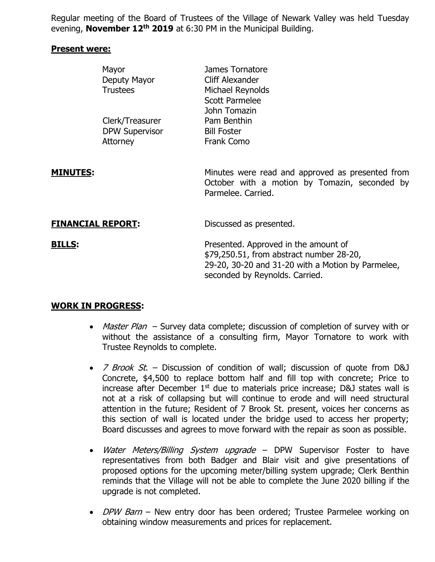Regular meeting of the Board of Trustees of the Village of Newark Valley was held Tuesday evening, **November 12th 2019** at 6:30 PM in the Municipal Building.

#### **Present were:**

|                          | Mayor<br>Deputy Mayor<br><b>Trustees</b> | James Tornatore<br>Cliff Alexander<br>Michael Reynolds<br><b>Scott Parmelee</b><br>John Tomazin                                                                         |
|--------------------------|------------------------------------------|-------------------------------------------------------------------------------------------------------------------------------------------------------------------------|
|                          | Clerk/Treasurer                          | Pam Benthin                                                                                                                                                             |
|                          | <b>DPW Supervisor</b>                    | <b>Bill Foster</b>                                                                                                                                                      |
|                          | Attorney                                 | Frank Como                                                                                                                                                              |
|                          |                                          |                                                                                                                                                                         |
| <b>MINUTES:</b>          |                                          | Minutes were read and approved as presented from<br>October with a motion by Tomazin, seconded by<br>Parmelee, Carried.                                                 |
| <b>FINANCIAL REPORT:</b> |                                          | Discussed as presented.                                                                                                                                                 |
| <b>BILLS:</b>            |                                          | Presented. Approved in the amount of<br>\$79,250.51, from abstract number 28-20,<br>29-20, 30-20 and 31-20 with a Motion by Parmelee,<br>seconded by Reynolds. Carried. |

### **WORK IN PROGRESS:**

- *Master Plan* Survey data complete; discussion of completion of survey with or without the assistance of a consulting firm, Mayor Tornatore to work with Trustee Reynolds to complete.
- $\overline{7}$  Brook St. Discussion of condition of wall; discussion of quote from D&J Concrete, \$4,500 to replace bottom half and fill top with concrete; Price to increase after December  $1<sup>st</sup>$  due to materials price increase; D&J states wall is not at a risk of collapsing but will continue to erode and will need structural attention in the future; Resident of 7 Brook St. present, voices her concerns as this section of wall is located under the bridge used to access her property; Board discusses and agrees to move forward with the repair as soon as possible.
- Water Meters/Billing System upgrade DPW Supervisor Foster to have representatives from both Badger and Blair visit and give presentations of proposed options for the upcoming meter/billing system upgrade; Clerk Benthin reminds that the Village will not be able to complete the June 2020 billing if the upgrade is not completed.
- *DPW Barn* New entry door has been ordered; Trustee Parmelee working on obtaining window measurements and prices for replacement.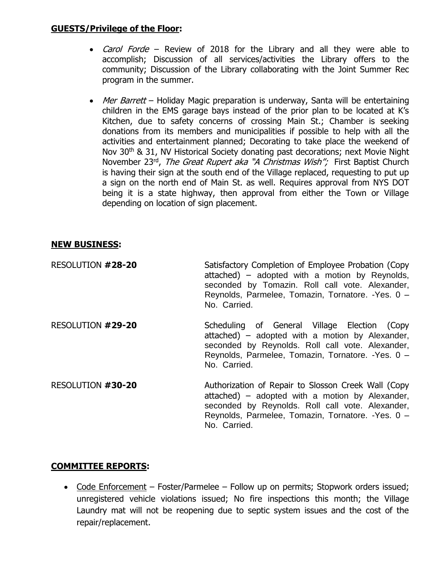### **GUESTS/Privilege of the Floor:**

- Carol Forde Review of 2018 for the Library and all they were able to accomplish; Discussion of all services/activities the Library offers to the community; Discussion of the Library collaborating with the Joint Summer Rec program in the summer.
- Mer Barrett Holiday Magic preparation is underway, Santa will be entertaining children in the EMS garage bays instead of the prior plan to be located at K's Kitchen, due to safety concerns of crossing Main St.; Chamber is seeking donations from its members and municipalities if possible to help with all the activities and entertainment planned; Decorating to take place the weekend of Nov 30<sup>th</sup> & 31, NV Historical Society donating past decorations; next Movie Night November 23<sup>rd</sup>, *The Great Rupert aka "A Christmas Wish";* First Baptist Church is having their sign at the south end of the Village replaced, requesting to put up a sign on the north end of Main St. as well. Requires approval from NYS DOT being it is a state highway, then approval from either the Town or Village depending on location of sign placement.

# **NEW BUSINESS:**

| RESOLUTION #28-20 | Satisfactory Completion of Employee Probation (Copy<br>attached) – adopted with a motion by Reynolds,<br>seconded by Tomazin. Roll call vote. Alexander,<br>Reynolds, Parmelee, Tomazin, Tornatore. - Yes. 0 -<br>No. Carried.   |
|-------------------|----------------------------------------------------------------------------------------------------------------------------------------------------------------------------------------------------------------------------------|
| RESOLUTION #29-20 | Scheduling of General Village Election (Copy<br>attached) – adopted with a motion by Alexander,<br>seconded by Reynolds. Roll call vote. Alexander,<br>Reynolds, Parmelee, Tomazin, Tornatore. - Yes. 0 -<br>No. Carried.        |
| RESOLUTION #30-20 | Authorization of Repair to Slosson Creek Wall (Copy<br>attached) - adopted with a motion by Alexander,<br>seconded by Reynolds. Roll call vote. Alexander,<br>Reynolds, Parmelee, Tomazin, Tornatore. - Yes. 0 -<br>No. Carried. |

### **COMMITTEE REPORTS:**

• Code Enforcement – Foster/Parmelee – Follow up on permits; Stopwork orders issued; unregistered vehicle violations issued; No fire inspections this month; the Village Laundry mat will not be reopening due to septic system issues and the cost of the repair/replacement.